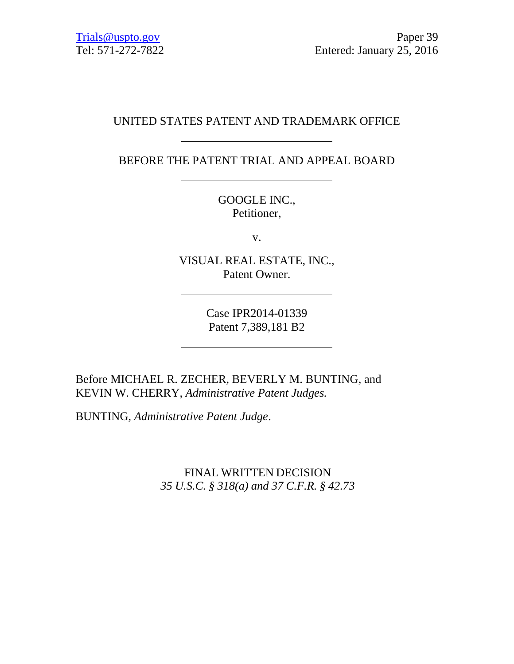# UNITED STATES PATENT AND TRADEMARK OFFICE

BEFORE THE PATENT TRIAL AND APPEAL BOARD

GOOGLE INC., Petitioner,

v.

VISUAL REAL ESTATE, INC., Patent Owner.

> Case IPR2014-01339 Patent 7,389,181 B2

Before MICHAEL R. ZECHER, BEVERLY M. BUNTING, and KEVIN W. CHERRY, *Administrative Patent Judges.*

BUNTING, *Administrative Patent Judge*.

FINAL WRITTEN DECISION *35 U.S.C. § 318(a) and 37 C.F.R. § 42.73*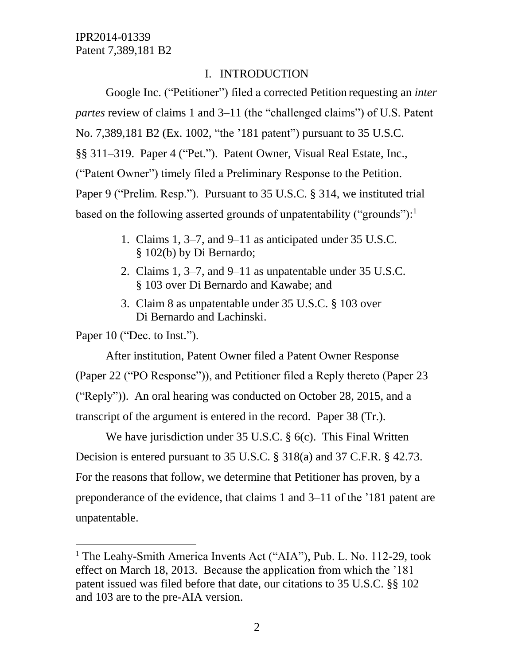### I. INTRODUCTION

Google Inc. ("Petitioner") filed a corrected Petition requesting an *inter partes* review of claims 1 and 3–11 (the "challenged claims") of U.S. Patent No. 7,389,181 B2 (Ex. 1002, "the '181 patent") pursuant to 35 U.S.C. §§ 311–319. Paper 4 ("Pet."). Patent Owner, Visual Real Estate, Inc., ("Patent Owner") timely filed a Preliminary Response to the Petition. Paper 9 ("Prelim. Resp."). Pursuant to 35 U.S.C. § 314, we instituted trial based on the following asserted grounds of unpatentability ("grounds"):<sup>1</sup>

- 1. Claims 1, 3–7, and 9–11 as anticipated under 35 U.S.C. § 102(b) by Di Bernardo;
- 2. Claims 1, 3–7, and 9–11 as unpatentable under 35 U.S.C. § 103 over Di Bernardo and Kawabe; and
- 3. Claim 8 as unpatentable under 35 U.S.C. § 103 over Di Bernardo and Lachinski.

Paper 10 ("Dec. to Inst.").

 $\overline{a}$ 

After institution, Patent Owner filed a Patent Owner Response (Paper 22 ("PO Response")), and Petitioner filed a Reply thereto (Paper 23 ("Reply")). An oral hearing was conducted on October 28, 2015, and a transcript of the argument is entered in the record. Paper 38 (Tr.).

We have jurisdiction under 35 U.S.C. § 6(c). This Final Written Decision is entered pursuant to 35 U.S.C. § 318(a) and 37 C.F.R. § 42.73. For the reasons that follow, we determine that Petitioner has proven, by a preponderance of the evidence, that claims 1 and 3–11 of the '181 patent are unpatentable.

<sup>&</sup>lt;sup>1</sup> The Leahy-Smith America Invents Act ("AIA"), Pub. L. No. 112-29, took effect on March 18, 2013. Because the application from which the '181 patent issued was filed before that date, our citations to 35 U.S.C. §§ 102 and 103 are to the pre-AIA version.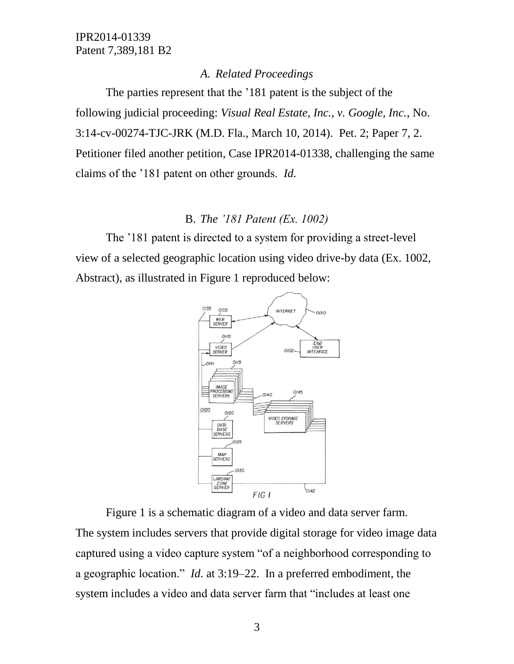#### *A. Related Proceedings*

The parties represent that the '181 patent is the subject of the following judicial proceeding: *Visual Real Estate, Inc., v. Google, Inc.*, No. 3:14-cv-00274-TJC-JRK (M.D. Fla., March 10, 2014). Pet. 2; Paper 7, 2. Petitioner filed another petition, Case IPR2014-01338, challenging the same claims of the '181 patent on other grounds. *Id.*

# B. *The '181 Patent (Ex. 1002)*

The '181 patent is directed to a system for providing a street-level view of a selected geographic location using video drive-by data (Ex. 1002, Abstract), as illustrated in Figure 1 reproduced below:



Figure 1 is a schematic diagram of a video and data server farm. The system includes servers that provide digital storage for video image data captured using a video capture system "of a neighborhood corresponding to a geographic location." *Id.* at 3:19–22. In a preferred embodiment, the system includes a video and data server farm that "includes at least one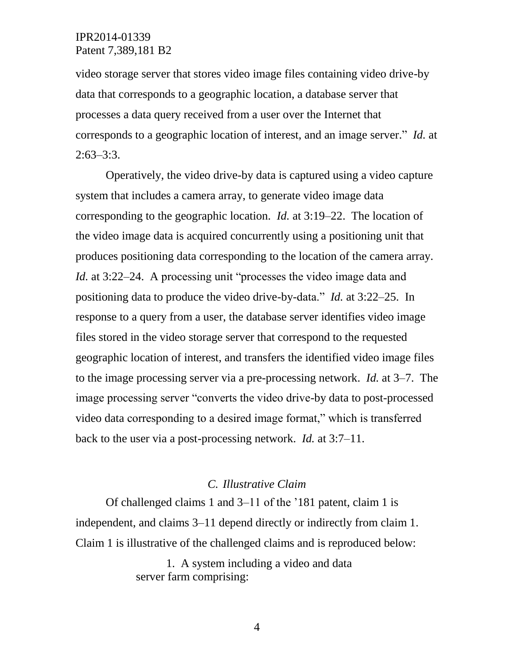video storage server that stores video image files containing video drive-by data that corresponds to a geographic location, a database server that processes a data query received from a user over the Internet that corresponds to a geographic location of interest, and an image server." *Id.* at  $2:63-3:3$ .

Operatively, the video drive-by data is captured using a video capture system that includes a camera array, to generate video image data corresponding to the geographic location. *Id.* at 3:19–22. The location of the video image data is acquired concurrently using a positioning unit that produces positioning data corresponding to the location of the camera array. *Id.* at 3:22–24. A processing unit "processes the video image data and positioning data to produce the video drive-by-data." *Id.* at 3:22–25. In response to a query from a user, the database server identifies video image files stored in the video storage server that correspond to the requested geographic location of interest, and transfers the identified video image files to the image processing server via a pre-processing network. *Id.* at 3–7. The image processing server "converts the video drive-by data to post-processed video data corresponding to a desired image format," which is transferred back to the user via a post-processing network. *Id.* at 3:7–11.

#### *C. Illustrative Claim*

Of challenged claims 1 and 3–11 of the '181 patent, claim 1 is independent, and claims 3–11 depend directly or indirectly from claim 1. Claim 1 is illustrative of the challenged claims and is reproduced below:

> 1. A system including a video and data server farm comprising: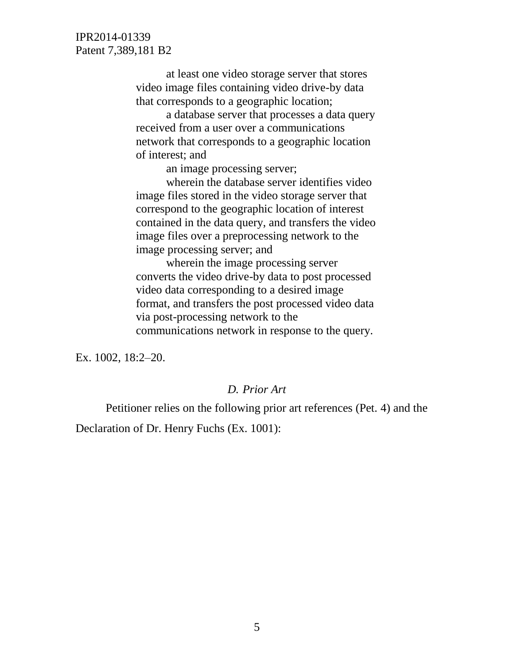> at least one video storage server that stores video image files containing video drive-by data that corresponds to a geographic location;

a database server that processes a data query received from a user over a communications network that corresponds to a geographic location of interest; and

an image processing server;

wherein the database server identifies video image files stored in the video storage server that correspond to the geographic location of interest contained in the data query, and transfers the video image files over a preprocessing network to the image processing server; and

wherein the image processing server converts the video drive-by data to post processed video data corresponding to a desired image format, and transfers the post processed video data via post-processing network to the communications network in response to the query.

Ex. 1002, 18:2–20.

#### *D. Prior Art*

Petitioner relies on the following prior art references (Pet. 4) and the Declaration of Dr. Henry Fuchs (Ex. 1001):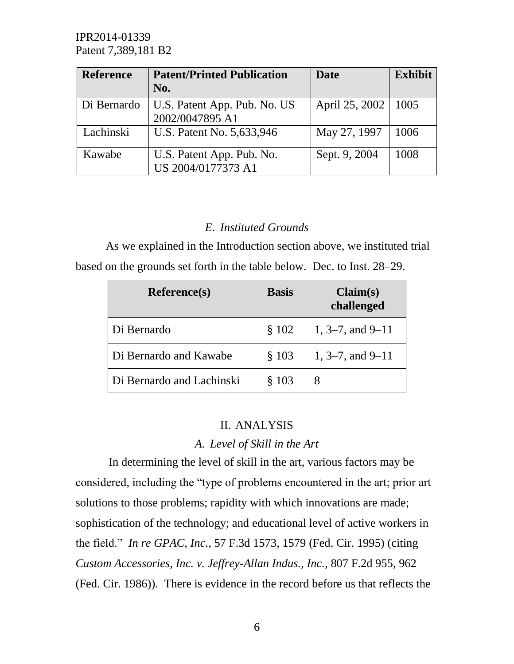| <b>Reference</b> | <b>Patent/Printed Publication</b><br>No. | <b>Date</b>    | <b>Exhibit</b> |
|------------------|------------------------------------------|----------------|----------------|
|                  |                                          |                |                |
| Di Bernardo      | U.S. Patent App. Pub. No. US             | April 25, 2002 | 1005           |
|                  | 2002/0047895 A1                          |                |                |
| Lachinski        | U.S. Patent No. 5,633,946                | May 27, 1997   | 1006           |
|                  |                                          |                |                |
| Kawabe           | U.S. Patent App. Pub. No.                | Sept. 9, 2004  | 1008           |
|                  | US 2004/0177373 A1                       |                |                |

# *E. Instituted Grounds*

As we explained in the Introduction section above, we instituted trial based on the grounds set forth in the table below. Dec. to Inst. 28–29.

| <b>Reference(s)</b>       | <b>Basis</b> | Claim(s)<br>challenged |
|---------------------------|--------------|------------------------|
| Di Bernardo               | \$102        | $1, 3-7,$ and $9-11$   |
| Di Bernardo and Kawabe    | \$103        | $1, 3-7,$ and $9-11$   |
| Di Bernardo and Lachinski | \$103        | 8                      |

# II. ANALYSIS

# *A. Level of Skill in the Art*

In determining the level of skill in the art, various factors may be considered, including the "type of problems encountered in the art; prior art solutions to those problems; rapidity with which innovations are made; sophistication of the technology; and educational level of active workers in the field." *In re GPAC, Inc.*, 57 F.3d 1573, 1579 (Fed. Cir. 1995) (citing *Custom Accessories, Inc. v. Jeffrey-Allan Indus., Inc.*, 807 F.2d 955, 962 (Fed. Cir. 1986)). There is evidence in the record before us that reflects the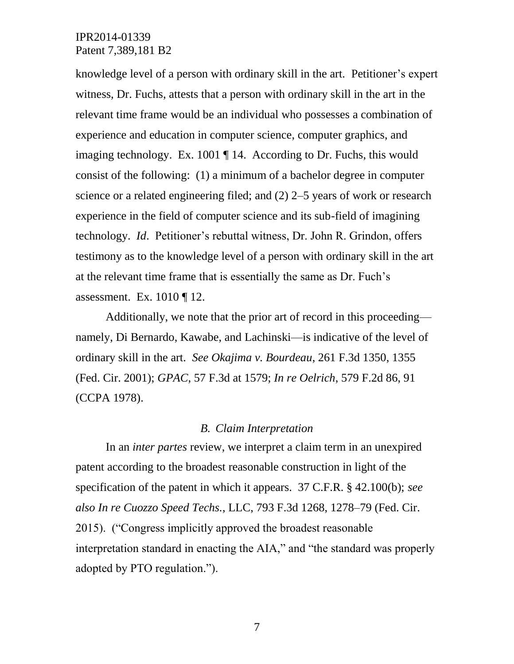knowledge level of a person with ordinary skill in the art. Petitioner's expert witness, Dr. Fuchs, attests that a person with ordinary skill in the art in the relevant time frame would be an individual who possesses a combination of experience and education in computer science, computer graphics, and imaging technology. Ex. 1001 ¶ 14. According to Dr. Fuchs, this would consist of the following: (1) a minimum of a bachelor degree in computer science or a related engineering filed; and (2) 2–5 years of work or research experience in the field of computer science and its sub-field of imagining technology. *Id*. Petitioner's rebuttal witness, Dr. John R. Grindon, offers testimony as to the knowledge level of a person with ordinary skill in the art at the relevant time frame that is essentially the same as Dr. Fuch's assessment. Ex. 1010 ¶ 12.

Additionally, we note that the prior art of record in this proceeding namely, Di Bernardo, Kawabe, and Lachinski—is indicative of the level of ordinary skill in the art. *See Okajima v. Bourdeau*, 261 F.3d 1350, 1355 (Fed. Cir. 2001); *GPAC*, 57 F.3d at 1579; *In re Oelrich*, 579 F.2d 86, 91 (CCPA 1978).

#### *B. Claim Interpretation*

In an *inter partes* review, we interpret a claim term in an unexpired patent according to the broadest reasonable construction in light of the specification of the patent in which it appears. 37 C.F.R. § 42.100(b); *see also In re Cuozzo Speed Techs.*, LLC, 793 F.3d 1268, 1278–79 (Fed. Cir. 2015). ("Congress implicitly approved the broadest reasonable interpretation standard in enacting the AIA," and "the standard was properly adopted by PTO regulation.").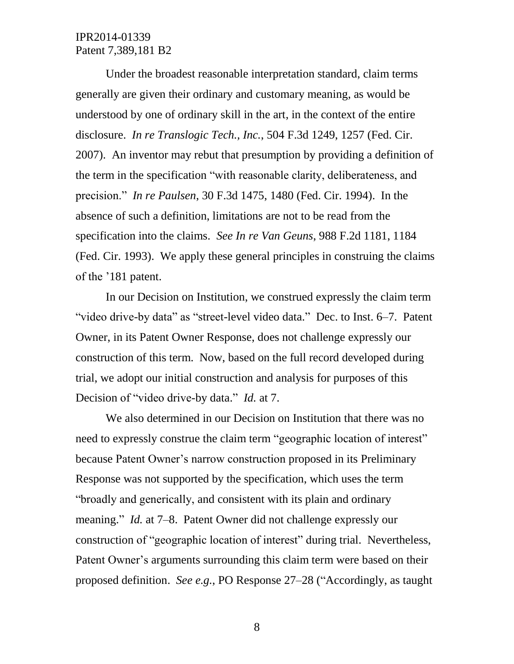Under the broadest reasonable interpretation standard, claim terms generally are given their ordinary and customary meaning, as would be understood by one of ordinary skill in the art, in the context of the entire disclosure. *In re Translogic Tech., Inc.*, 504 F.3d 1249, 1257 (Fed. Cir. 2007). An inventor may rebut that presumption by providing a definition of the term in the specification "with reasonable clarity, deliberateness, and precision." *In re Paulsen*, 30 F.3d 1475, 1480 (Fed. Cir. 1994). In the absence of such a definition, limitations are not to be read from the specification into the claims. *See In re Van Geuns*, 988 F.2d 1181, 1184 (Fed. Cir. 1993). We apply these general principles in construing the claims of the '181 patent.

In our Decision on Institution, we construed expressly the claim term "video drive-by data" as "street-level video data." Dec. to Inst. 6–7. Patent Owner, in its Patent Owner Response, does not challenge expressly our construction of this term. Now, based on the full record developed during trial, we adopt our initial construction and analysis for purposes of this Decision of "video drive-by data." *Id.* at 7.

We also determined in our Decision on Institution that there was no need to expressly construe the claim term "geographic location of interest" because Patent Owner's narrow construction proposed in its Preliminary Response was not supported by the specification, which uses the term "broadly and generically, and consistent with its plain and ordinary meaning." *Id.* at 7–8. Patent Owner did not challenge expressly our construction of "geographic location of interest" during trial. Nevertheless, Patent Owner's arguments surrounding this claim term were based on their proposed definition. *See e.g.*, PO Response 27–28 ("Accordingly, as taught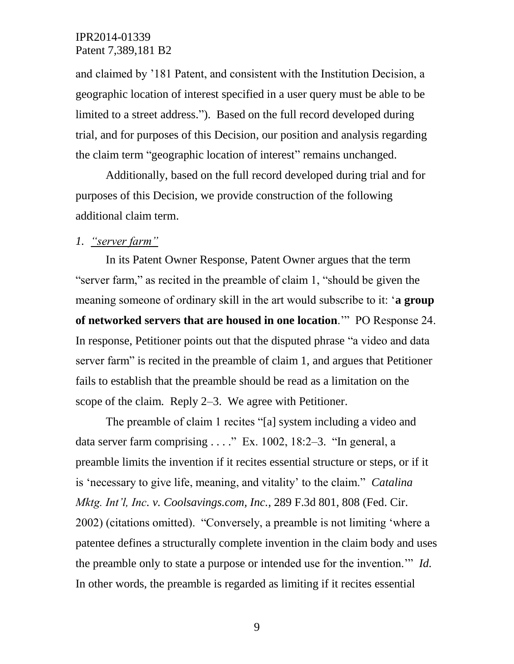and claimed by '181 Patent, and consistent with the Institution Decision, a geographic location of interest specified in a user query must be able to be limited to a street address."). Based on the full record developed during trial, and for purposes of this Decision, our position and analysis regarding the claim term "geographic location of interest" remains unchanged.

Additionally, based on the full record developed during trial and for purposes of this Decision, we provide construction of the following additional claim term.

## *1. "server farm"*

In its Patent Owner Response, Patent Owner argues that the term "server farm," as recited in the preamble of claim 1, "should be given the meaning someone of ordinary skill in the art would subscribe to it: '**a group of networked servers that are housed in one location**.'" PO Response 24. In response, Petitioner points out that the disputed phrase "a video and data server farm" is recited in the preamble of claim 1, and argues that Petitioner fails to establish that the preamble should be read as a limitation on the scope of the claim. Reply 2–3. We agree with Petitioner.

The preamble of claim 1 recites "[a] system including a video and data server farm comprising . . . ." Ex. 1002, 18:2–3. "In general, a preamble limits the invention if it recites essential structure or steps, or if it is 'necessary to give life, meaning, and vitality' to the claim." *Catalina Mktg. Int'l, Inc. v. Coolsavings.com, Inc.*, 289 F.3d 801, 808 (Fed. Cir. 2002) (citations omitted). "Conversely, a preamble is not limiting 'where a patentee defines a structurally complete invention in the claim body and uses the preamble only to state a purpose or intended use for the invention.'" *Id.* In other words, the preamble is regarded as limiting if it recites essential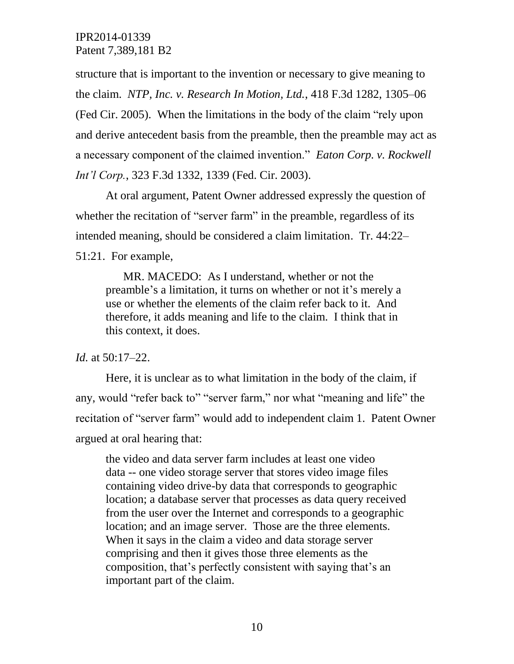structure that is important to the invention or necessary to give meaning to the claim. *NTP, Inc. v. Research In Motion, Ltd.*, 418 F.3d 1282, 1305–06 (Fed Cir. 2005). When the limitations in the body of the claim "rely upon and derive antecedent basis from the preamble, then the preamble may act as a necessary component of the claimed invention." *Eaton Corp. v. Rockwell Int'l Corp.*, 323 F.3d 1332, 1339 (Fed. Cir. 2003).

At oral argument, Patent Owner addressed expressly the question of whether the recitation of "server farm" in the preamble, regardless of its intended meaning, should be considered a claim limitation. Tr. 44:22– 51:21. For example,

 MR. MACEDO: As I understand, whether or not the preamble's a limitation, it turns on whether or not it's merely a use or whether the elements of the claim refer back to it. And therefore, it adds meaning and life to the claim. I think that in this context, it does.

#### *Id.* at 50:17–22.

Here, it is unclear as to what limitation in the body of the claim, if any, would "refer back to" "server farm," nor what "meaning and life" the recitation of "server farm" would add to independent claim 1. Patent Owner argued at oral hearing that:

the video and data server farm includes at least one video data -- one video storage server that stores video image files containing video drive-by data that corresponds to geographic location; a database server that processes as data query received from the user over the Internet and corresponds to a geographic location; and an image server. Those are the three elements. When it says in the claim a video and data storage server comprising and then it gives those three elements as the composition, that's perfectly consistent with saying that's an important part of the claim.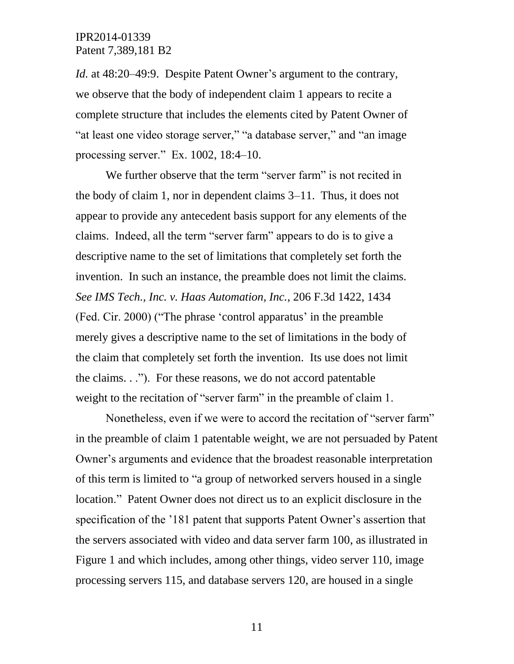*Id.* at 48:20–49:9. Despite Patent Owner's argument to the contrary, we observe that the body of independent claim 1 appears to recite a complete structure that includes the elements cited by Patent Owner of "at least one video storage server," "a database server," and "an image processing server." Ex. 1002, 18:4–10.

We further observe that the term "server farm" is not recited in the body of claim 1, nor in dependent claims 3–11. Thus, it does not appear to provide any antecedent basis support for any elements of the claims. Indeed, all the term "server farm" appears to do is to give a descriptive name to the set of limitations that completely set forth the invention. In such an instance, the preamble does not limit the claims. *See IMS Tech., Inc. v. Haas Automation, Inc.*, 206 F.3d 1422, 1434 (Fed. Cir. 2000) ("The phrase 'control apparatus' in the preamble merely gives a descriptive name to the set of limitations in the body of the claim that completely set forth the invention. Its use does not limit the claims. . ."). For these reasons, we do not accord patentable weight to the recitation of "server farm" in the preamble of claim 1.

Nonetheless, even if we were to accord the recitation of "server farm" in the preamble of claim 1 patentable weight, we are not persuaded by Patent Owner's arguments and evidence that the broadest reasonable interpretation of this term is limited to "a group of networked servers housed in a single location." Patent Owner does not direct us to an explicit disclosure in the specification of the '181 patent that supports Patent Owner's assertion that the servers associated with video and data server farm 100, as illustrated in Figure 1 and which includes, among other things, video server 110, image processing servers 115, and database servers 120, are housed in a single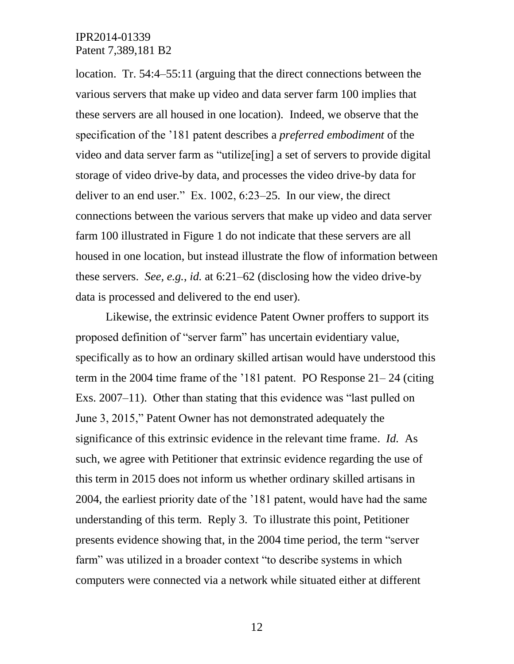location. Tr. 54:4–55:11 (arguing that the direct connections between the various servers that make up video and data server farm 100 implies that these servers are all housed in one location). Indeed, we observe that the specification of the '181 patent describes a *preferred embodiment* of the video and data server farm as "utilize[ing] a set of servers to provide digital storage of video drive-by data, and processes the video drive-by data for deliver to an end user." Ex. 1002, 6:23–25. In our view, the direct connections between the various servers that make up video and data server farm 100 illustrated in Figure 1 do not indicate that these servers are all housed in one location, but instead illustrate the flow of information between these servers. *See, e.g.*, *id.* at 6:21–62 (disclosing how the video drive-by data is processed and delivered to the end user).

Likewise, the extrinsic evidence Patent Owner proffers to support its proposed definition of "server farm" has uncertain evidentiary value, specifically as to how an ordinary skilled artisan would have understood this term in the 2004 time frame of the '181 patent. PO Response 21– 24 (citing Exs. 2007–11). Other than stating that this evidence was "last pulled on June 3, 2015," Patent Owner has not demonstrated adequately the significance of this extrinsic evidence in the relevant time frame. *Id.* As such, we agree with Petitioner that extrinsic evidence regarding the use of this term in 2015 does not inform us whether ordinary skilled artisans in 2004, the earliest priority date of the '181 patent, would have had the same understanding of this term. Reply 3. To illustrate this point, Petitioner presents evidence showing that, in the 2004 time period, the term "server farm" was utilized in a broader context "to describe systems in which computers were connected via a network while situated either at different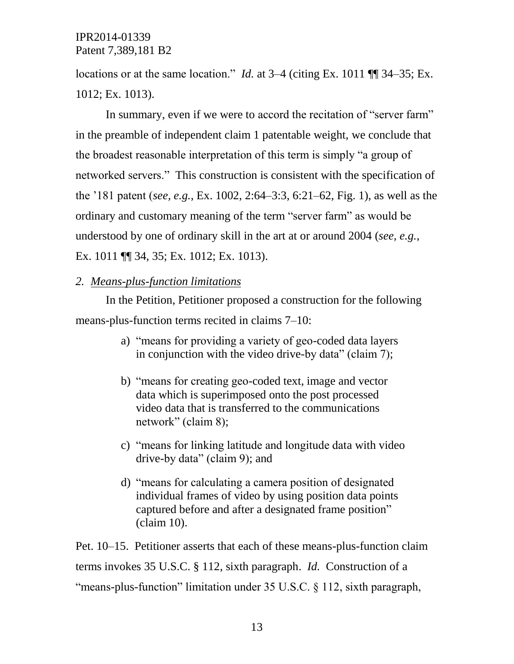locations or at the same location." *Id.* at 3–4 (citing Ex. 1011 ¶¶ 34–35; Ex. 1012; Ex. 1013).

In summary, even if we were to accord the recitation of "server farm" in the preamble of independent claim 1 patentable weight, we conclude that the broadest reasonable interpretation of this term is simply "a group of networked servers." This construction is consistent with the specification of the '181 patent (*see, e.g.*, Ex. 1002, 2:64–3:3, 6:21–62, Fig. 1), as well as the ordinary and customary meaning of the term "server farm" as would be understood by one of ordinary skill in the art at or around 2004 (*see, e.g.*, Ex. 1011 ¶¶ 34, 35; Ex. 1012; Ex. 1013).

#### *2. Means-plus-function limitations*

In the Petition, Petitioner proposed a construction for the following means-plus-function terms recited in claims 7–10:

- a) "means for providing a variety of geo-coded data layers in conjunction with the video drive-by data" (claim 7);
- b) "means for creating geo-coded text, image and vector data which is superimposed onto the post processed video data that is transferred to the communications network" (claim 8);
- c) "means for linking latitude and longitude data with video drive-by data" (claim 9); and
- d) "means for calculating a camera position of designated individual frames of video by using position data points captured before and after a designated frame position" (claim 10).

Pet. 10–15. Petitioner asserts that each of these means-plus-function claim terms invokes 35 U.S.C. § 112, sixth paragraph. *Id.* Construction of a "means-plus-function" limitation under 35 U.S.C. § 112, sixth paragraph,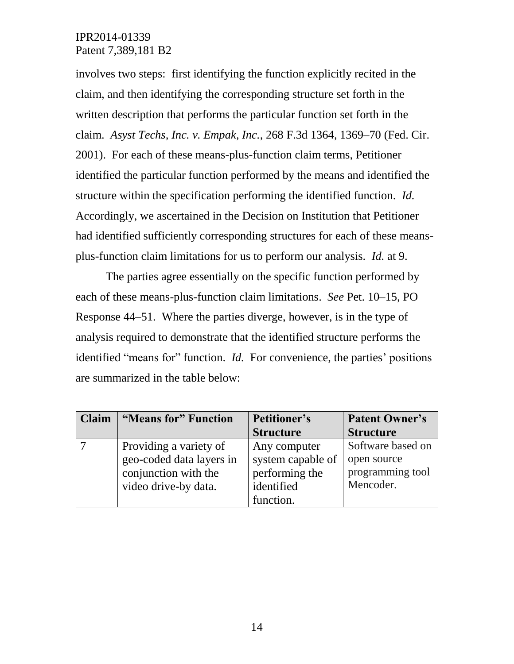involves two steps: first identifying the function explicitly recited in the claim, and then identifying the corresponding structure set forth in the written description that performs the particular function set forth in the claim. *Asyst Techs, Inc. v. Empak, Inc.*, 268 F.3d 1364, 1369–70 (Fed. Cir. 2001). For each of these means-plus-function claim terms, Petitioner identified the particular function performed by the means and identified the structure within the specification performing the identified function. *Id.* Accordingly, we ascertained in the Decision on Institution that Petitioner had identified sufficiently corresponding structures for each of these meansplus-function claim limitations for us to perform our analysis. *Id.* at 9.

The parties agree essentially on the specific function performed by each of these means-plus-function claim limitations. *See* Pet. 10–15, PO Response 44–51. Where the parties diverge, however, is in the type of analysis required to demonstrate that the identified structure performs the identified "means for" function. *Id.* For convenience, the parties' positions are summarized in the table below:

| <b>Claim</b> | "Means for" Function     | <b>Petitioner's</b> | <b>Patent Owner's</b> |
|--------------|--------------------------|---------------------|-----------------------|
|              |                          | <b>Structure</b>    | <b>Structure</b>      |
|              | Providing a variety of   | Any computer        | Software based on     |
|              | geo-coded data layers in | system capable of   | open source           |
|              | conjunction with the     | performing the      | programming tool      |
|              | video drive-by data.     | identified          | Mencoder.             |
|              |                          | function.           |                       |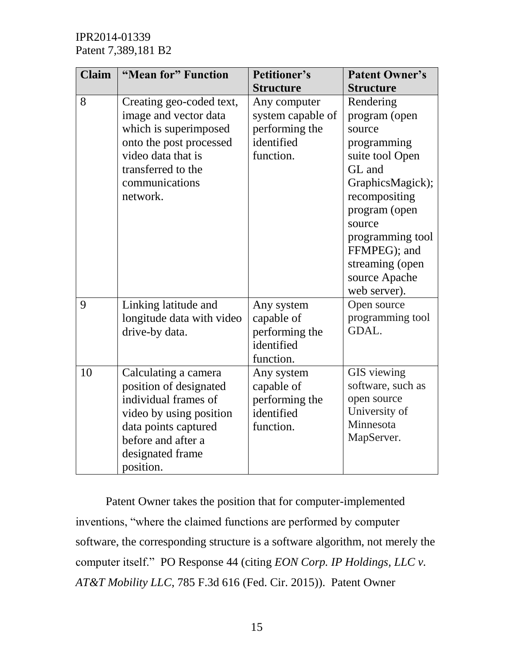| <b>Claim</b> | "Mean for" Function                                                                                                                                                              | Petitioner's                                                                   | <b>Patent Owner's</b>                                                                                                                                                                                                                    |
|--------------|----------------------------------------------------------------------------------------------------------------------------------------------------------------------------------|--------------------------------------------------------------------------------|------------------------------------------------------------------------------------------------------------------------------------------------------------------------------------------------------------------------------------------|
|              |                                                                                                                                                                                  | <b>Structure</b>                                                               | <b>Structure</b>                                                                                                                                                                                                                         |
| 8            | Creating geo-coded text,<br>image and vector data<br>which is superimposed<br>onto the post processed<br>video data that is<br>transferred to the<br>communications<br>network.  | Any computer<br>system capable of<br>performing the<br>identified<br>function. | Rendering<br>program (open<br>source<br>programming<br>suite tool Open<br>GL and<br>GraphicsMagick);<br>recompositing<br>program (open<br>source<br>programming tool<br>FFMPEG); and<br>streaming (open<br>source Apache<br>web server). |
| 9            | Linking latitude and<br>longitude data with video<br>drive-by data.                                                                                                              | Any system<br>capable of<br>performing the<br>identified<br>function.          | Open source<br>programming tool<br>GDAL.                                                                                                                                                                                                 |
| 10           | Calculating a camera<br>position of designated<br>individual frames of<br>video by using position<br>data points captured<br>before and after a<br>designated frame<br>position. | Any system<br>capable of<br>performing the<br>identified<br>function.          | GIS viewing<br>software, such as<br>open source<br>University of<br>Minnesota<br>MapServer.                                                                                                                                              |

Patent Owner takes the position that for computer-implemented inventions, "where the claimed functions are performed by computer software, the corresponding structure is a software algorithm, not merely the computer itself." PO Response 44 (citing *EON Corp. IP Holdings, LLC v. AT&T Mobility LLC*, 785 F.3d 616 (Fed. Cir. 2015)). Patent Owner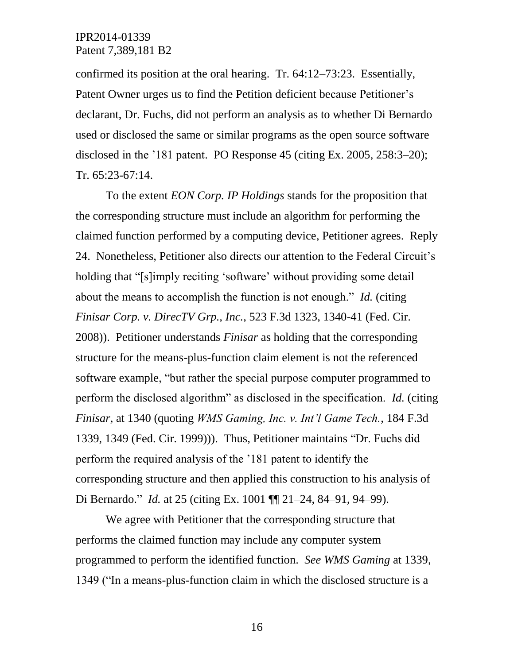confirmed its position at the oral hearing. Tr. 64:12–73:23. Essentially, Patent Owner urges us to find the Petition deficient because Petitioner's declarant, Dr. Fuchs, did not perform an analysis as to whether Di Bernardo used or disclosed the same or similar programs as the open source software disclosed in the '181 patent. PO Response 45 (citing Ex. 2005, 258:3–20); Tr. 65:23-67:14.

To the extent *EON Corp. IP Holdings* stands for the proposition that the corresponding structure must include an algorithm for performing the claimed function performed by a computing device, Petitioner agrees. Reply 24. Nonetheless, Petitioner also directs our attention to the Federal Circuit's holding that "[s]imply reciting 'software' without providing some detail about the means to accomplish the function is not enough." *Id.* (citing *Finisar Corp. v. DirecTV Grp., Inc.*, 523 F.3d 1323, 1340-41 (Fed. Cir. 2008)). Petitioner understands *Finisar* as holding that the corresponding structure for the means-plus-function claim element is not the referenced software example, "but rather the special purpose computer programmed to perform the disclosed algorithm" as disclosed in the specification. *Id.* (citing *Finisar*, at 1340 (quoting *WMS Gaming, Inc. v. Int'l Game Tech.*, 184 F.3d 1339, 1349 (Fed. Cir. 1999))). Thus, Petitioner maintains "Dr. Fuchs did perform the required analysis of the '181 patent to identify the corresponding structure and then applied this construction to his analysis of Di Bernardo." *Id.* at 25 (citing Ex. 1001 ¶¶ 21–24, 84–91, 94–99).

We agree with Petitioner that the corresponding structure that performs the claimed function may include any computer system programmed to perform the identified function. *See WMS Gaming* at 1339, 1349 ("In a means-plus-function claim in which the disclosed structure is a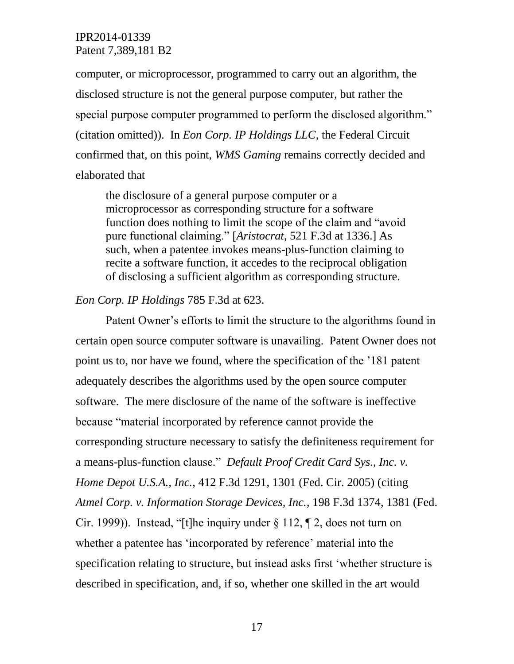computer, or microprocessor, programmed to carry out an algorithm, the disclosed structure is not the general purpose computer, but rather the special purpose computer programmed to perform the disclosed algorithm." (citation omitted)). In *Eon Corp. IP Holdings LLC*, the Federal Circuit confirmed that, on this point, *WMS Gaming* remains correctly decided and elaborated that

the disclosure of a general purpose computer or a microprocessor as corresponding structure for a software function does nothing to limit the scope of the claim and "avoid pure functional claiming." [*Aristocrat*, 521 F.3d at 1336.] As such, when a patentee invokes means-plus-function claiming to recite a software function, it accedes to the reciprocal obligation of disclosing a sufficient algorithm as corresponding structure.

#### *Eon Corp. IP Holdings* 785 F.3d at 623.

Patent Owner's efforts to limit the structure to the algorithms found in certain open source computer software is unavailing. Patent Owner does not point us to, nor have we found, where the specification of the '181 patent adequately describes the algorithms used by the open source computer software. The mere disclosure of the name of the software is ineffective because "material incorporated by reference cannot provide the corresponding structure necessary to satisfy the definiteness requirement for a means-plus-function clause." *Default Proof Credit Card Sys., Inc. v. Home Depot U.S.A., Inc.*, 412 F.3d 1291, 1301 (Fed. Cir. 2005) (citing *Atmel Corp. v. Information Storage Devices, Inc.*, 198 F.3d 1374, 1381 (Fed. Cir. 1999)). Instead, "[t]he inquiry under  $\S 112$ ,  $\P 2$ , does not turn on whether a patentee has 'incorporated by reference' material into the specification relating to structure, but instead asks first 'whether structure is described in specification, and, if so, whether one skilled in the art would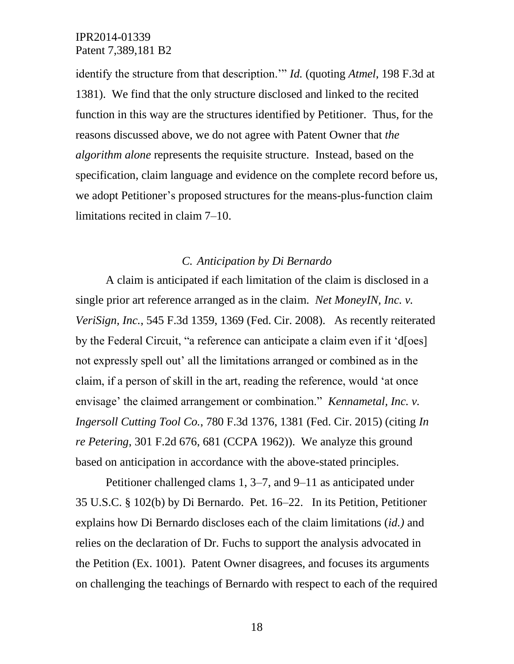identify the structure from that description.'" *Id.* (quoting *Atmel*, 198 F.3d at 1381). We find that the only structure disclosed and linked to the recited function in this way are the structures identified by Petitioner. Thus, for the reasons discussed above, we do not agree with Patent Owner that *the algorithm alone* represents the requisite structure. Instead, based on the specification, claim language and evidence on the complete record before us, we adopt Petitioner's proposed structures for the means-plus-function claim limitations recited in claim 7–10.

#### *C. Anticipation by Di Bernardo*

A claim is anticipated if each limitation of the claim is disclosed in a single prior art reference arranged as in the claim. *Net MoneyIN, Inc. v. VeriSign, Inc.*, 545 F.3d 1359, 1369 (Fed. Cir. 2008). As recently reiterated by the Federal Circuit, "a reference can anticipate a claim even if it 'd[oes] not expressly spell out' all the limitations arranged or combined as in the claim, if a person of skill in the art, reading the reference, would 'at once envisage' the claimed arrangement or combination." *Kennametal, Inc. v. Ingersoll Cutting Tool Co.*, 780 F.3d 1376, 1381 (Fed. Cir. 2015) (citing *In re Petering*, 301 F.2d 676, 681 (CCPA 1962)). We analyze this ground based on anticipation in accordance with the above-stated principles.

Petitioner challenged clams 1, 3–7, and 9–11 as anticipated under 35 U.S.C. § 102(b) by Di Bernardo. Pet. 16–22. In its Petition, Petitioner explains how Di Bernardo discloses each of the claim limitations (*id.)* and relies on the declaration of Dr. Fuchs to support the analysis advocated in the Petition (Ex. 1001). Patent Owner disagrees, and focuses its arguments on challenging the teachings of Bernardo with respect to each of the required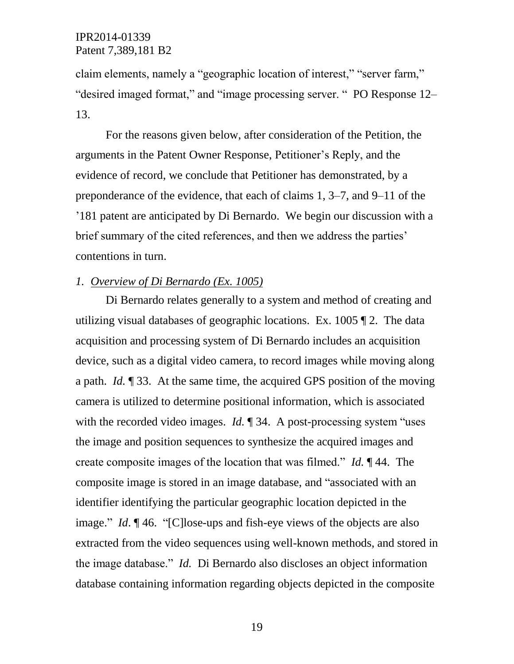claim elements, namely a "geographic location of interest," "server farm," "desired imaged format," and "image processing server. " PO Response 12– 13.

For the reasons given below, after consideration of the Petition, the arguments in the Patent Owner Response, Petitioner's Reply, and the evidence of record, we conclude that Petitioner has demonstrated, by a preponderance of the evidence, that each of claims 1, 3–7, and 9–11 of the '181 patent are anticipated by Di Bernardo. We begin our discussion with a brief summary of the cited references, and then we address the parties' contentions in turn.

#### *1. Overview of Di Bernardo (Ex. 1005)*

Di Bernardo relates generally to a system and method of creating and utilizing visual databases of geographic locations. Ex. 1005 ¶ 2. The data acquisition and processing system of Di Bernardo includes an acquisition device, such as a digital video camera, to record images while moving along a path. *Id.* ¶ 33. At the same time, the acquired GPS position of the moving camera is utilized to determine positional information, which is associated with the recorded video images. *Id.* 134. A post-processing system "uses" the image and position sequences to synthesize the acquired images and create composite images of the location that was filmed." *Id.* ¶ 44. The composite image is stored in an image database, and "associated with an identifier identifying the particular geographic location depicted in the image." *Id*. ¶ 46. "[C]lose-ups and fish-eye views of the objects are also extracted from the video sequences using well-known methods, and stored in the image database." *Id.* Di Bernardo also discloses an object information database containing information regarding objects depicted in the composite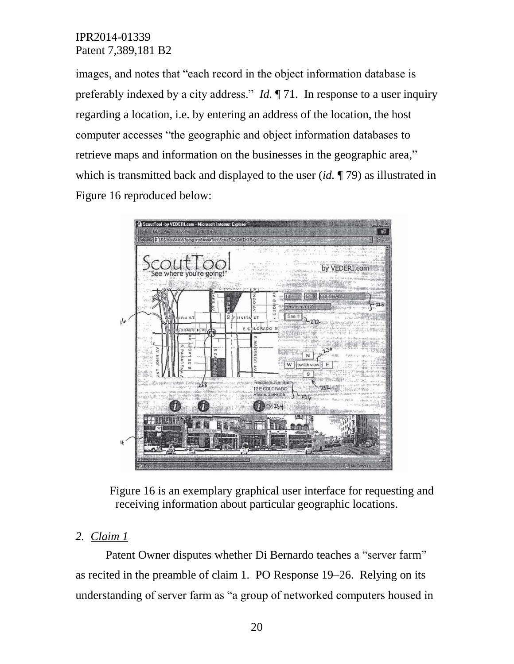images, and notes that "each record in the object information database is preferably indexed by a city address." *Id.* ¶ 71. In response to a user inquiry regarding a location, i.e. by entering an address of the location, the host computer accesses "the geographic and object information databases to retrieve maps and information on the businesses in the geographic area," which is transmitted back and displayed to the user (*id.* ¶ 79) as illustrated in Figure 16 reproduced below:



Figure 16 is an exemplary graphical user interface for requesting and receiving information about particular geographic locations.

# *2. Claim 1*

Patent Owner disputes whether Di Bernardo teaches a "server farm" as recited in the preamble of claim 1. PO Response 19–26. Relying on its understanding of server farm as "a group of networked computers housed in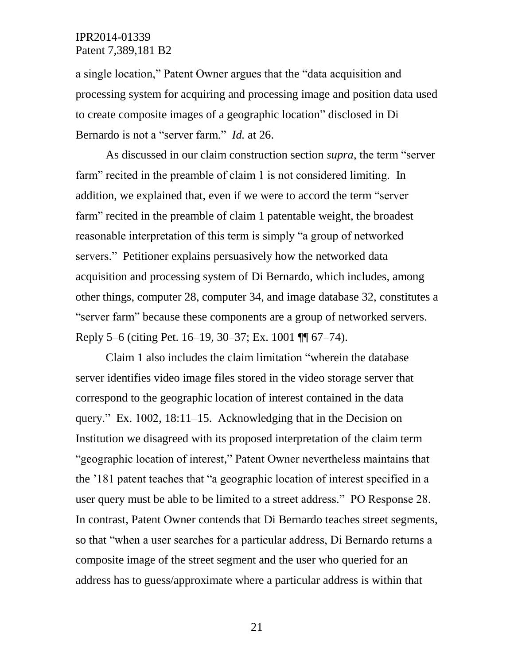a single location," Patent Owner argues that the "data acquisition and processing system for acquiring and processing image and position data used to create composite images of a geographic location" disclosed in Di Bernardo is not a "server farm." *Id.* at 26.

As discussed in our claim construction section *supra*, the term "server farm" recited in the preamble of claim 1 is not considered limiting. In addition, we explained that, even if we were to accord the term "server farm" recited in the preamble of claim 1 patentable weight, the broadest reasonable interpretation of this term is simply "a group of networked servers." Petitioner explains persuasively how the networked data acquisition and processing system of Di Bernardo, which includes, among other things, computer 28, computer 34, and image database 32, constitutes a "server farm" because these components are a group of networked servers. Reply 5–6 (citing Pet. 16–19, 30–37; Ex. 1001 ¶¶ 67–74).

Claim 1 also includes the claim limitation "wherein the database server identifies video image files stored in the video storage server that correspond to the geographic location of interest contained in the data query." Ex. 1002, 18:11–15. Acknowledging that in the Decision on Institution we disagreed with its proposed interpretation of the claim term "geographic location of interest," Patent Owner nevertheless maintains that the '181 patent teaches that "a geographic location of interest specified in a user query must be able to be limited to a street address." PO Response 28. In contrast, Patent Owner contends that Di Bernardo teaches street segments, so that "when a user searches for a particular address, Di Bernardo returns a composite image of the street segment and the user who queried for an address has to guess/approximate where a particular address is within that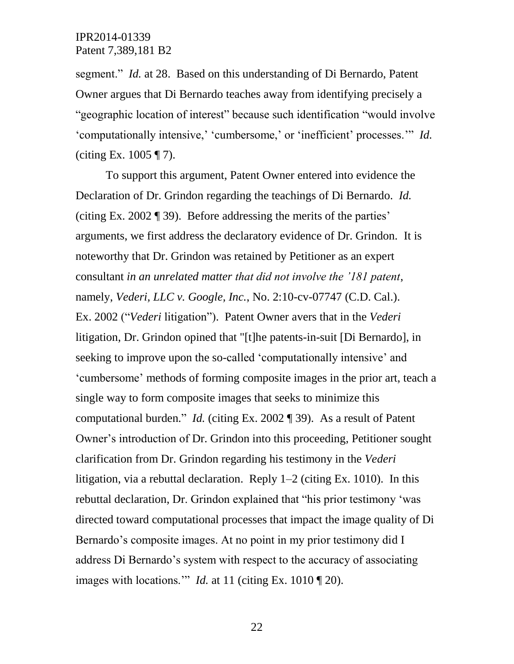segment." *Id.* at 28. Based on this understanding of Di Bernardo, Patent Owner argues that Di Bernardo teaches away from identifying precisely a "geographic location of interest" because such identification "would involve 'computationally intensive,' 'cumbersome,' or 'inefficient' processes.'" *Id.* (citing Ex.  $1005 \text{ T}$ ).

To support this argument, Patent Owner entered into evidence the Declaration of Dr. Grindon regarding the teachings of Di Bernardo. *Id.* (citing Ex. 2002 ¶ 39). Before addressing the merits of the parties' arguments, we first address the declaratory evidence of Dr. Grindon. It is noteworthy that Dr. Grindon was retained by Petitioner as an expert consultant *in an unrelated matter that did not involve the '181 patent*, namely, *Vederi, LLC v. Google, Inc.*, No. 2:10-cv-07747 (C.D. Cal.). Ex. 2002 ("*Vederi* litigation"). Patent Owner avers that in the *Vederi*  litigation, Dr. Grindon opined that "[t]he patents-in-suit [Di Bernardo], in seeking to improve upon the so-called 'computationally intensive' and 'cumbersome' methods of forming composite images in the prior art, teach a single way to form composite images that seeks to minimize this computational burden." *Id.* (citing Ex. 2002 ¶ 39). As a result of Patent Owner's introduction of Dr. Grindon into this proceeding, Petitioner sought clarification from Dr. Grindon regarding his testimony in the *Vederi* litigation, via a rebuttal declaration. Reply 1–2 (citing Ex. 1010). In this rebuttal declaration, Dr. Grindon explained that "his prior testimony 'was directed toward computational processes that impact the image quality of Di Bernardo's composite images. At no point in my prior testimony did I address Di Bernardo's system with respect to the accuracy of associating images with locations.'" *Id.* at 11 (citing Ex. 1010 ¶ 20).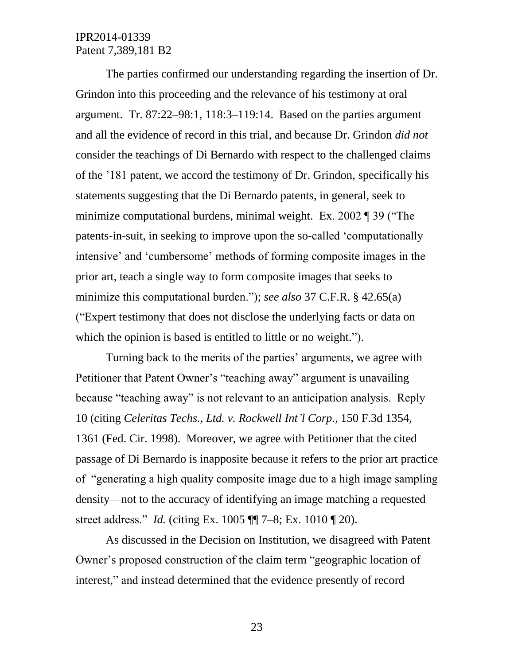The parties confirmed our understanding regarding the insertion of Dr. Grindon into this proceeding and the relevance of his testimony at oral argument. Tr. 87:22–98:1, 118:3–119:14. Based on the parties argument and all the evidence of record in this trial, and because Dr. Grindon *did not* consider the teachings of Di Bernardo with respect to the challenged claims of the '181 patent, we accord the testimony of Dr. Grindon, specifically his statements suggesting that the Di Bernardo patents, in general, seek to minimize computational burdens, minimal weight. Ex. 2002 ¶ 39 ("The patents-in-suit, in seeking to improve upon the so-called 'computationally intensive' and 'cumbersome' methods of forming composite images in the prior art, teach a single way to form composite images that seeks to minimize this computational burden."); *see also* 37 C.F.R. § 42.65(a) ("Expert testimony that does not disclose the underlying facts or data on which the opinion is based is entitled to little or no weight.").

Turning back to the merits of the parties' arguments, we agree with Petitioner that Patent Owner's "teaching away" argument is unavailing because "teaching away" is not relevant to an anticipation analysis. Reply 10 (citing *Celeritas Techs., Ltd. v. Rockwell Int'l Corp.*, 150 F.3d 1354, 1361 (Fed. Cir. 1998). Moreover, we agree with Petitioner that the cited passage of Di Bernardo is inapposite because it refers to the prior art practice of "generating a high quality composite image due to a high image sampling density—not to the accuracy of identifying an image matching a requested street address." *Id.* (citing Ex. 1005 ¶¶ 7–8; Ex. 1010 ¶ 20).

As discussed in the Decision on Institution, we disagreed with Patent Owner's proposed construction of the claim term "geographic location of interest," and instead determined that the evidence presently of record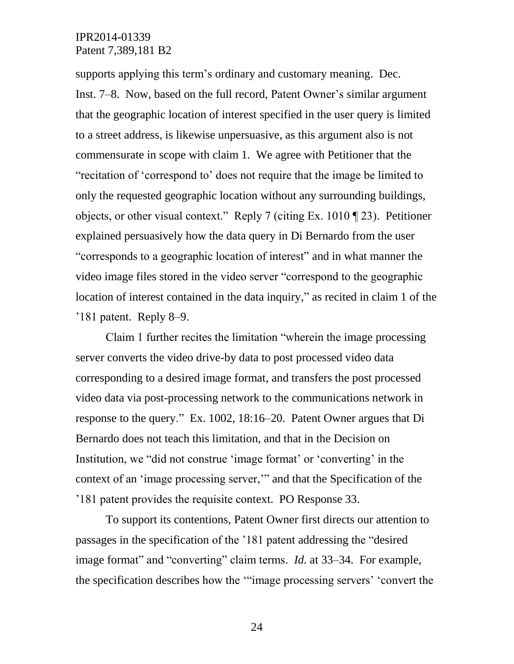supports applying this term's ordinary and customary meaning. Dec. Inst. 7–8. Now, based on the full record, Patent Owner's similar argument that the geographic location of interest specified in the user query is limited to a street address, is likewise unpersuasive, as this argument also is not commensurate in scope with claim 1. We agree with Petitioner that the "recitation of 'correspond to' does not require that the image be limited to only the requested geographic location without any surrounding buildings, objects, or other visual context." Reply 7 (citing Ex. 1010 ¶ 23). Petitioner explained persuasively how the data query in Di Bernardo from the user "corresponds to a geographic location of interest" and in what manner the video image files stored in the video server "correspond to the geographic location of interest contained in the data inquiry," as recited in claim 1 of the '181 patent. Reply 8–9.

Claim 1 further recites the limitation "wherein the image processing server converts the video drive-by data to post processed video data corresponding to a desired image format, and transfers the post processed video data via post-processing network to the communications network in response to the query." Ex. 1002, 18:16–20. Patent Owner argues that Di Bernardo does not teach this limitation, and that in the Decision on Institution, we "did not construe 'image format' or 'converting' in the context of an 'image processing server,'" and that the Specification of the '181 patent provides the requisite context. PO Response 33.

To support its contentions, Patent Owner first directs our attention to passages in the specification of the '181 patent addressing the "desired image format" and "converting" claim terms. *Id.* at 33–34. For example, the specification describes how the '"image processing servers' 'convert the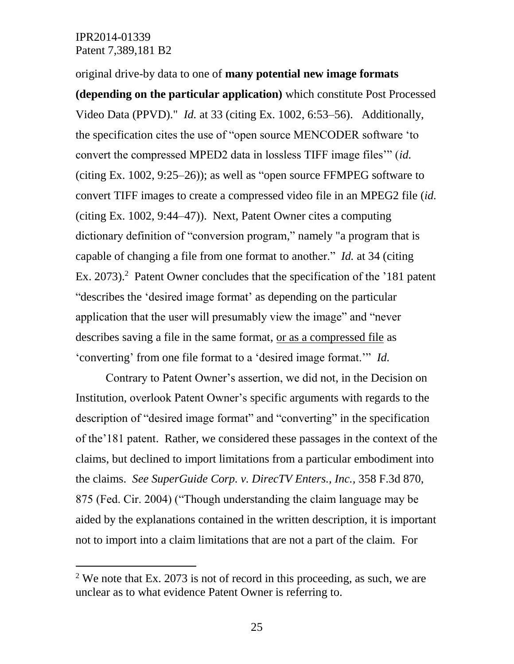$\overline{a}$ 

original drive-by data to one of **many potential new image formats (depending on the particular application)** which constitute Post Processed Video Data (PPVD)." *Id.* at 33 (citing Ex. 1002, 6:53–56). Additionally, the specification cites the use of "open source MENCODER software 'to convert the compressed MPED2 data in lossless TIFF image files'" (*id.* (citing Ex. 1002, 9:25–26)); as well as "open source FFMPEG software to convert TIFF images to create a compressed video file in an MPEG2 file (*id.* (citing Ex. 1002, 9:44–47)). Next, Patent Owner cites a computing dictionary definition of "conversion program," namely "a program that is capable of changing a file from one format to another." *Id.* at 34 (citing Ex. 2073).<sup>2</sup> Patent Owner concludes that the specification of the '181 patent "describes the 'desired image format' as depending on the particular application that the user will presumably view the image" and "never describes saving a file in the same format, or as a compressed file as 'converting' from one file format to a 'desired image format.'" *Id.*

Contrary to Patent Owner's assertion, we did not, in the Decision on Institution, overlook Patent Owner's specific arguments with regards to the description of "desired image format" and "converting" in the specification of the'181 patent. Rather, we considered these passages in the context of the claims, but declined to import limitations from a particular embodiment into the claims. *See SuperGuide Corp. v. DirecTV Enters., Inc.,* 358 F.3d 870, 875 (Fed. Cir. 2004) ("Though understanding the claim language may be aided by the explanations contained in the written description, it is important not to import into a claim limitations that are not a part of the claim. For

<sup>&</sup>lt;sup>2</sup> We note that Ex. 2073 is not of record in this proceeding, as such, we are unclear as to what evidence Patent Owner is referring to.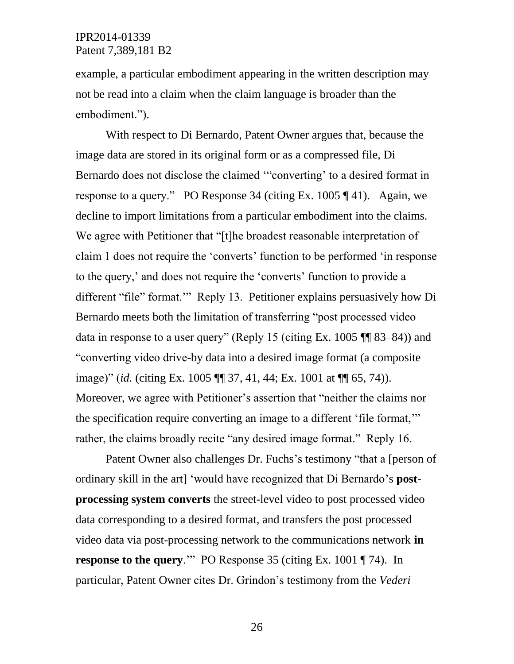example, a particular embodiment appearing in the written description may not be read into a claim when the claim language is broader than the embodiment.").

With respect to Di Bernardo, Patent Owner argues that, because the image data are stored in its original form or as a compressed file, Di Bernardo does not disclose the claimed '"converting' to a desired format in response to a query." PO Response 34 (citing Ex. 1005 ¶ 41). Again, we decline to import limitations from a particular embodiment into the claims. We agree with Petitioner that "[t]he broadest reasonable interpretation of claim 1 does not require the 'converts' function to be performed 'in response to the query,' and does not require the 'converts' function to provide a different "file" format.'" Reply 13. Petitioner explains persuasively how Di Bernardo meets both the limitation of transferring "post processed video data in response to a user query" (Reply 15 (citing Ex. 1005 ¶¶ 83–84)) and "converting video drive-by data into a desired image format (a composite image)" (*id.* (citing Ex. 1005 ¶¶ 37, 41, 44; Ex. 1001 at ¶¶ 65, 74)). Moreover, we agree with Petitioner's assertion that "neither the claims nor the specification require converting an image to a different 'file format,'" rather, the claims broadly recite "any desired image format." Reply 16.

Patent Owner also challenges Dr. Fuchs's testimony "that a [person of ordinary skill in the art] 'would have recognized that Di Bernardo's **postprocessing system converts** the street-level video to post processed video data corresponding to a desired format, and transfers the post processed video data via post-processing network to the communications network **in response to the query.**'" PO Response 35 (citing Ex. 1001 ¶ 74). In particular, Patent Owner cites Dr. Grindon's testimony from the *Vederi*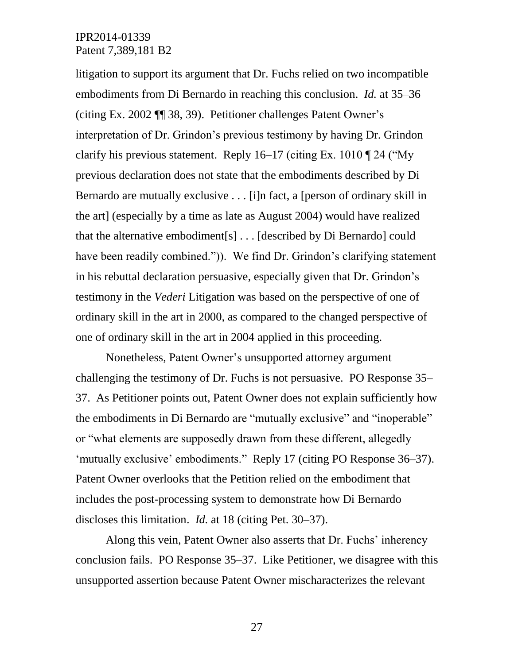litigation to support its argument that Dr. Fuchs relied on two incompatible embodiments from Di Bernardo in reaching this conclusion. *Id.* at 35–36 (citing Ex. 2002 ¶¶ 38, 39). Petitioner challenges Patent Owner's interpretation of Dr. Grindon's previous testimony by having Dr. Grindon clarify his previous statement. Reply  $16-17$  (citing Ex. 1010  $\P$  24 ("My previous declaration does not state that the embodiments described by Di Bernardo are mutually exclusive . . . [i]n fact, a [person of ordinary skill in the art] (especially by a time as late as August 2004) would have realized that the alternative embodiment[s] . . . [described by Di Bernardo] could have been readily combined.")). We find Dr. Grindon's clarifying statement in his rebuttal declaration persuasive, especially given that Dr. Grindon's testimony in the *Vederi* Litigation was based on the perspective of one of ordinary skill in the art in 2000, as compared to the changed perspective of one of ordinary skill in the art in 2004 applied in this proceeding.

Nonetheless, Patent Owner's unsupported attorney argument challenging the testimony of Dr. Fuchs is not persuasive. PO Response 35– 37. As Petitioner points out, Patent Owner does not explain sufficiently how the embodiments in Di Bernardo are "mutually exclusive" and "inoperable" or "what elements are supposedly drawn from these different, allegedly 'mutually exclusive' embodiments." Reply 17 (citing PO Response 36–37). Patent Owner overlooks that the Petition relied on the embodiment that includes the post-processing system to demonstrate how Di Bernardo discloses this limitation. *Id.* at 18 (citing Pet. 30–37).

Along this vein, Patent Owner also asserts that Dr. Fuchs' inherency conclusion fails. PO Response 35–37. Like Petitioner, we disagree with this unsupported assertion because Patent Owner mischaracterizes the relevant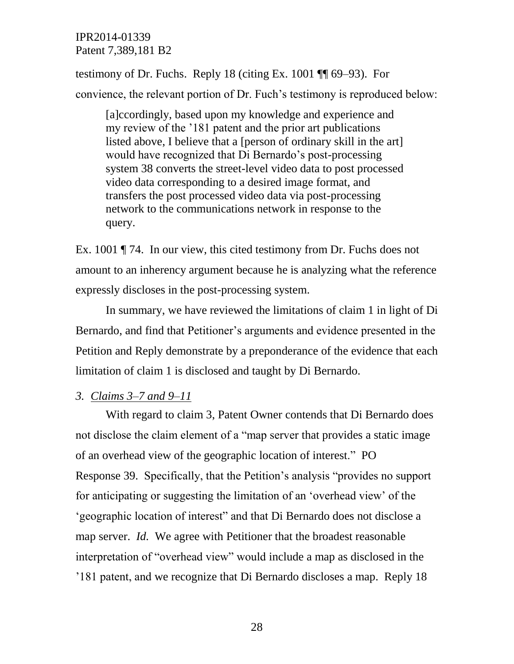testimony of Dr. Fuchs. Reply 18 (citing Ex. 1001 ¶¶ 69–93). For convience, the relevant portion of Dr. Fuch's testimony is reproduced below:

[a]ccordingly, based upon my knowledge and experience and my review of the '181 patent and the prior art publications listed above, I believe that a [person of ordinary skill in the art] would have recognized that Di Bernardo's post-processing system 38 converts the street-level video data to post processed video data corresponding to a desired image format, and transfers the post processed video data via post-processing network to the communications network in response to the query.

Ex. 1001 ¶ 74. In our view, this cited testimony from Dr. Fuchs does not amount to an inherency argument because he is analyzing what the reference expressly discloses in the post-processing system.

In summary, we have reviewed the limitations of claim 1 in light of Di Bernardo, and find that Petitioner's arguments and evidence presented in the Petition and Reply demonstrate by a preponderance of the evidence that each limitation of claim 1 is disclosed and taught by Di Bernardo.

## *3. Claims 3–7 and 9–11*

With regard to claim 3, Patent Owner contends that Di Bernardo does not disclose the claim element of a "map server that provides a static image of an overhead view of the geographic location of interest." PO Response 39. Specifically, that the Petition's analysis "provides no support for anticipating or suggesting the limitation of an 'overhead view' of the 'geographic location of interest" and that Di Bernardo does not disclose a map server. *Id.* We agree with Petitioner that the broadest reasonable interpretation of "overhead view" would include a map as disclosed in the '181 patent, and we recognize that Di Bernardo discloses a map. Reply 18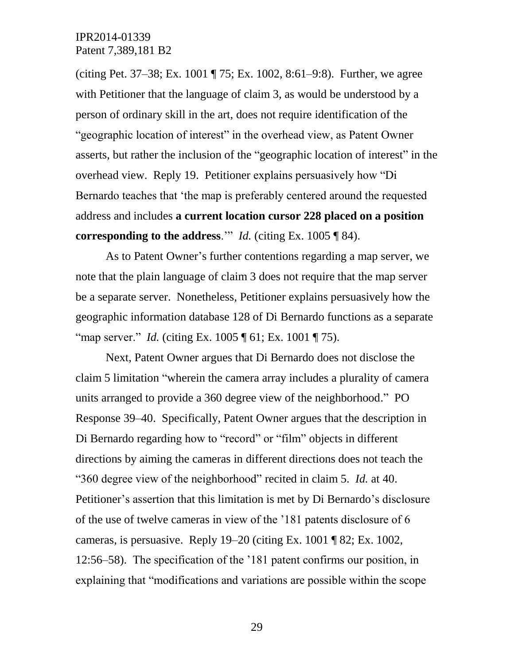(citing Pet. 37–38; Ex. 1001 ¶ 75; Ex. 1002, 8:61–9:8). Further, we agree with Petitioner that the language of claim 3, as would be understood by a person of ordinary skill in the art, does not require identification of the "geographic location of interest" in the overhead view, as Patent Owner asserts, but rather the inclusion of the "geographic location of interest" in the overhead view. Reply 19. Petitioner explains persuasively how "Di Bernardo teaches that 'the map is preferably centered around the requested address and includes **a current location cursor 228 placed on a position corresponding to the address**.'" *Id.* (citing Ex. 1005 ¶ 84).

As to Patent Owner's further contentions regarding a map server, we note that the plain language of claim 3 does not require that the map server be a separate server. Nonetheless, Petitioner explains persuasively how the geographic information database 128 of Di Bernardo functions as a separate "map server." *Id.* (citing Ex. 1005 ¶ 61; Ex. 1001 ¶ 75).

Next, Patent Owner argues that Di Bernardo does not disclose the claim 5 limitation "wherein the camera array includes a plurality of camera units arranged to provide a 360 degree view of the neighborhood." PO Response 39–40. Specifically, Patent Owner argues that the description in Di Bernardo regarding how to "record" or "film" objects in different directions by aiming the cameras in different directions does not teach the "360 degree view of the neighborhood" recited in claim 5. *Id.* at 40. Petitioner's assertion that this limitation is met by Di Bernardo's disclosure of the use of twelve cameras in view of the '181 patents disclosure of 6 cameras, is persuasive. Reply 19–20 (citing Ex. 1001 ¶ 82; Ex. 1002, 12:56–58). The specification of the '181 patent confirms our position, in explaining that "modifications and variations are possible within the scope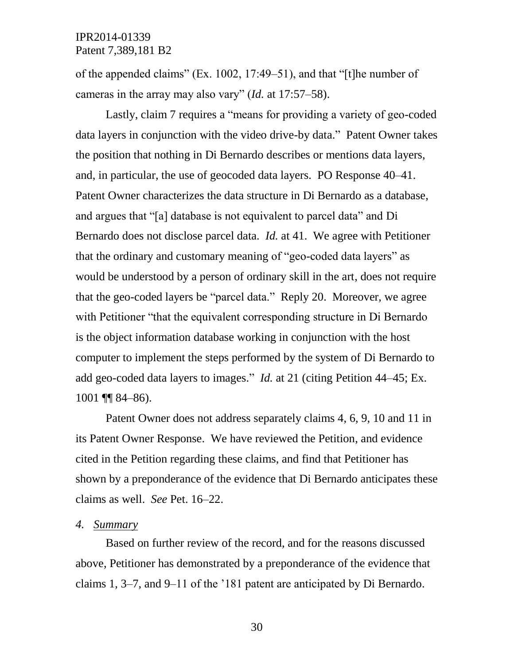of the appended claims" (Ex. 1002, 17:49–51), and that "[t]he number of cameras in the array may also vary" (*Id.* at 17:57–58).

Lastly, claim 7 requires a "means for providing a variety of geo-coded data layers in conjunction with the video drive-by data." Patent Owner takes the position that nothing in Di Bernardo describes or mentions data layers, and, in particular, the use of geocoded data layers. PO Response 40–41. Patent Owner characterizes the data structure in Di Bernardo as a database, and argues that "[a] database is not equivalent to parcel data" and Di Bernardo does not disclose parcel data. *Id.* at 41. We agree with Petitioner that the ordinary and customary meaning of "geo-coded data layers" as would be understood by a person of ordinary skill in the art, does not require that the geo-coded layers be "parcel data." Reply 20. Moreover, we agree with Petitioner "that the equivalent corresponding structure in Di Bernardo" is the object information database working in conjunction with the host computer to implement the steps performed by the system of Di Bernardo to add geo-coded data layers to images." *Id.* at 21 (citing Petition 44–45; Ex. 1001 ¶¶ 84–86).

Patent Owner does not address separately claims 4, 6, 9, 10 and 11 in its Patent Owner Response. We have reviewed the Petition, and evidence cited in the Petition regarding these claims, and find that Petitioner has shown by a preponderance of the evidence that Di Bernardo anticipates these claims as well. *See* Pet. 16–22.

#### *4. Summary*

Based on further review of the record, and for the reasons discussed above, Petitioner has demonstrated by a preponderance of the evidence that claims 1, 3–7, and 9–11 of the '181 patent are anticipated by Di Bernardo.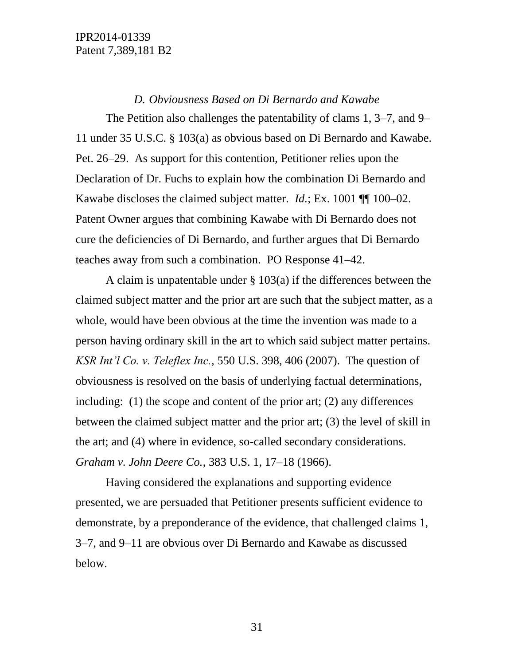#### *D. Obviousness Based on Di Bernardo and Kawabe*

The Petition also challenges the patentability of clams 1, 3–7, and 9– 11 under 35 U.S.C. § 103(a) as obvious based on Di Bernardo and Kawabe. Pet. 26–29. As support for this contention, Petitioner relies upon the Declaration of Dr. Fuchs to explain how the combination Di Bernardo and Kawabe discloses the claimed subject matter. *Id.*; Ex. 1001 ¶¶ 100–02. Patent Owner argues that combining Kawabe with Di Bernardo does not cure the deficiencies of Di Bernardo, and further argues that Di Bernardo teaches away from such a combination. PO Response 41–42.

A claim is unpatentable under  $\S$  103(a) if the differences between the claimed subject matter and the prior art are such that the subject matter, as a whole, would have been obvious at the time the invention was made to a person having ordinary skill in the art to which said subject matter pertains. *KSR Int'l Co. v. Teleflex Inc.*, 550 U.S. 398, 406 (2007). The question of obviousness is resolved on the basis of underlying factual determinations, including: (1) the scope and content of the prior art; (2) any differences between the claimed subject matter and the prior art; (3) the level of skill in the art; and (4) where in evidence, so-called secondary considerations. *Graham v. John Deere Co.*, 383 U.S. 1, 17–18 (1966).

Having considered the explanations and supporting evidence presented, we are persuaded that Petitioner presents sufficient evidence to demonstrate, by a preponderance of the evidence, that challenged claims 1, 3–7, and 9–11 are obvious over Di Bernardo and Kawabe as discussed below.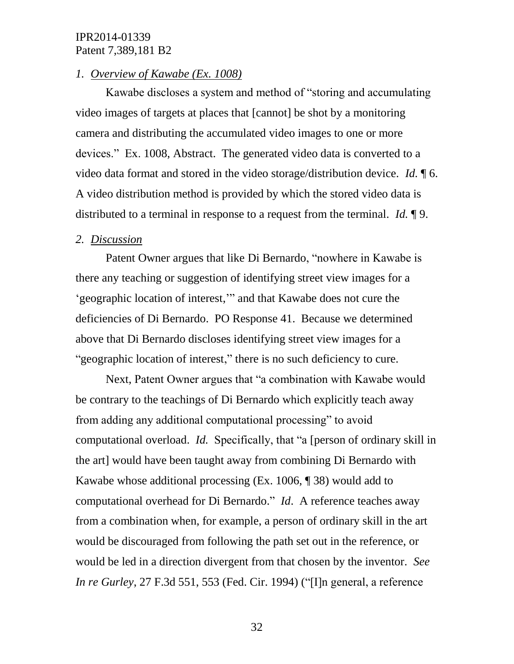#### *1. Overview of Kawabe (Ex. 1008)*

Kawabe discloses a system and method of "storing and accumulating video images of targets at places that [cannot] be shot by a monitoring camera and distributing the accumulated video images to one or more devices." Ex. 1008, Abstract. The generated video data is converted to a video data format and stored in the video storage/distribution device. *Id.* ¶ 6. A video distribution method is provided by which the stored video data is distributed to a terminal in response to a request from the terminal. *Id.* ¶ 9.

#### *2. Discussion*

Patent Owner argues that like Di Bernardo, "nowhere in Kawabe is there any teaching or suggestion of identifying street view images for a 'geographic location of interest,'" and that Kawabe does not cure the deficiencies of Di Bernardo. PO Response 41. Because we determined above that Di Bernardo discloses identifying street view images for a "geographic location of interest," there is no such deficiency to cure.

Next, Patent Owner argues that "a combination with Kawabe would be contrary to the teachings of Di Bernardo which explicitly teach away from adding any additional computational processing" to avoid computational overload. *Id.* Specifically, that "a [person of ordinary skill in the art] would have been taught away from combining Di Bernardo with Kawabe whose additional processing (Ex. 1006, ¶ 38) would add to computational overhead for Di Bernardo." *Id*. A reference teaches away from a combination when, for example, a person of ordinary skill in the art would be discouraged from following the path set out in the reference, or would be led in a direction divergent from that chosen by the inventor. *See In re Gurley*, 27 F.3d 551, 553 (Fed. Cir. 1994) ("[I]n general, a reference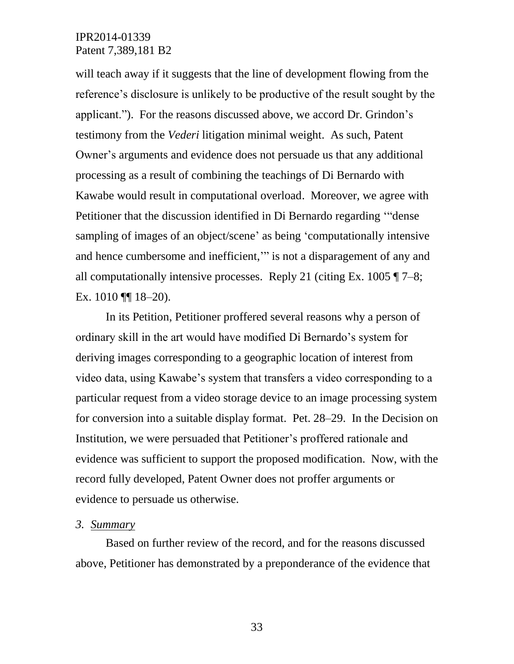will teach away if it suggests that the line of development flowing from the reference's disclosure is unlikely to be productive of the result sought by the applicant."). For the reasons discussed above, we accord Dr. Grindon's testimony from the *Vederi* litigation minimal weight. As such, Patent Owner's arguments and evidence does not persuade us that any additional processing as a result of combining the teachings of Di Bernardo with Kawabe would result in computational overload. Moreover, we agree with Petitioner that the discussion identified in Di Bernardo regarding '"dense sampling of images of an object/scene' as being 'computationally intensive and hence cumbersome and inefficient,'" is not a disparagement of any and all computationally intensive processes. Reply 21 (citing Ex.  $1005 \text{ T}$  7–8; Ex. 1010 | 18-20).

In its Petition, Petitioner proffered several reasons why a person of ordinary skill in the art would have modified Di Bernardo's system for deriving images corresponding to a geographic location of interest from video data, using Kawabe's system that transfers a video corresponding to a particular request from a video storage device to an image processing system for conversion into a suitable display format. Pet. 28–29. In the Decision on Institution, we were persuaded that Petitioner's proffered rationale and evidence was sufficient to support the proposed modification. Now, with the record fully developed, Patent Owner does not proffer arguments or evidence to persuade us otherwise.

#### *3. Summary*

Based on further review of the record, and for the reasons discussed above, Petitioner has demonstrated by a preponderance of the evidence that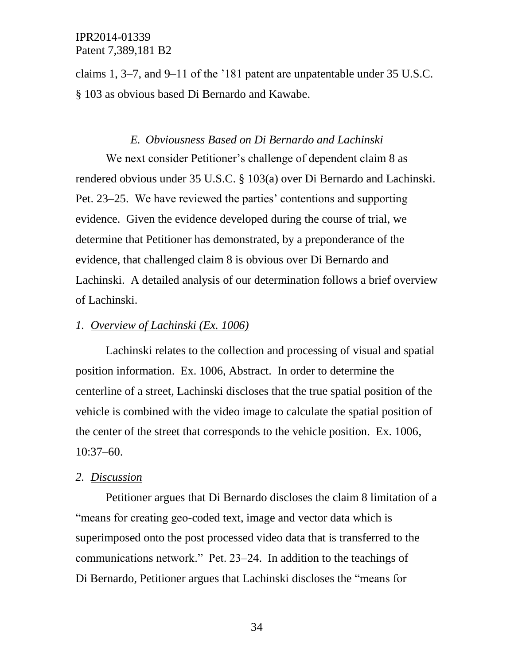claims 1, 3–7, and 9–11 of the '181 patent are unpatentable under 35 U.S.C. § 103 as obvious based Di Bernardo and Kawabe.

#### *E. Obviousness Based on Di Bernardo and Lachinski*

We next consider Petitioner's challenge of dependent claim 8 as rendered obvious under 35 U.S.C. § 103(a) over Di Bernardo and Lachinski. Pet. 23–25. We have reviewed the parties' contentions and supporting evidence. Given the evidence developed during the course of trial, we determine that Petitioner has demonstrated, by a preponderance of the evidence, that challenged claim 8 is obvious over Di Bernardo and Lachinski. A detailed analysis of our determination follows a brief overview of Lachinski.

#### *1. Overview of Lachinski (Ex. 1006)*

Lachinski relates to the collection and processing of visual and spatial position information. Ex. 1006, Abstract. In order to determine the centerline of a street, Lachinski discloses that the true spatial position of the vehicle is combined with the video image to calculate the spatial position of the center of the street that corresponds to the vehicle position. Ex. 1006, 10:37–60.

#### *2. Discussion*

Petitioner argues that Di Bernardo discloses the claim 8 limitation of a "means for creating geo-coded text, image and vector data which is superimposed onto the post processed video data that is transferred to the communications network." Pet. 23–24. In addition to the teachings of Di Bernardo, Petitioner argues that Lachinski discloses the "means for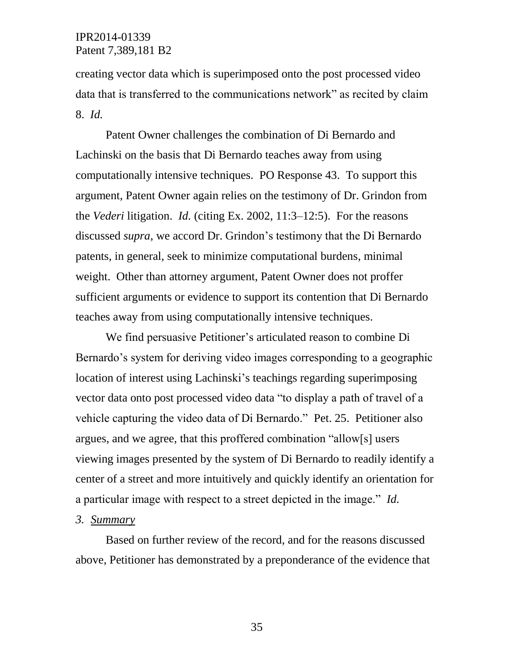creating vector data which is superimposed onto the post processed video data that is transferred to the communications network" as recited by claim 8. *Id.*

Patent Owner challenges the combination of Di Bernardo and Lachinski on the basis that Di Bernardo teaches away from using computationally intensive techniques. PO Response 43. To support this argument, Patent Owner again relies on the testimony of Dr. Grindon from the *Vederi* litigation. *Id.* (citing Ex. 2002, 11:3–12:5). For the reasons discussed *supra*, we accord Dr. Grindon's testimony that the Di Bernardo patents, in general, seek to minimize computational burdens, minimal weight. Other than attorney argument, Patent Owner does not proffer sufficient arguments or evidence to support its contention that Di Bernardo teaches away from using computationally intensive techniques.

We find persuasive Petitioner's articulated reason to combine Di Bernardo's system for deriving video images corresponding to a geographic location of interest using Lachinski's teachings regarding superimposing vector data onto post processed video data "to display a path of travel of a vehicle capturing the video data of Di Bernardo." Pet. 25. Petitioner also argues, and we agree, that this proffered combination "allow[s] users viewing images presented by the system of Di Bernardo to readily identify a center of a street and more intuitively and quickly identify an orientation for a particular image with respect to a street depicted in the image." *Id.*

## *3. Summary*

Based on further review of the record, and for the reasons discussed above, Petitioner has demonstrated by a preponderance of the evidence that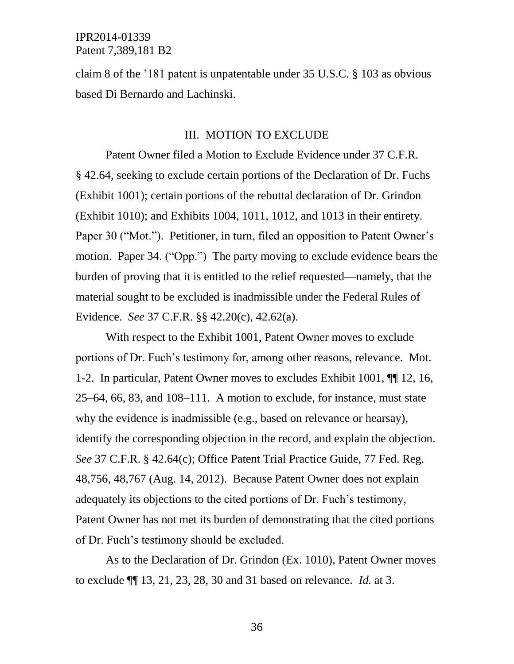claim 8 of the '181 patent is unpatentable under 35 U.S.C. § 103 as obvious based Di Bernardo and Lachinski.

#### III. MOTION TO EXCLUDE

Patent Owner filed a Motion to Exclude Evidence under 37 C.F.R. § 42.64, seeking to exclude certain portions of the Declaration of Dr. Fuchs (Exhibit 1001); certain portions of the rebuttal declaration of Dr. Grindon (Exhibit 1010); and Exhibits 1004, 1011, 1012, and 1013 in their entirety. Paper 30 ("Mot."). Petitioner, in turn, filed an opposition to Patent Owner's motion. Paper 34. ("Opp.") The party moving to exclude evidence bears the burden of proving that it is entitled to the relief requested—namely, that the material sought to be excluded is inadmissible under the Federal Rules of Evidence. *See* 37 C.F.R. §§ 42.20(c), 42.62(a).

With respect to the Exhibit 1001, Patent Owner moves to exclude portions of Dr. Fuch's testimony for, among other reasons, relevance. Mot. 1-2. In particular, Patent Owner moves to excludes Exhibit 1001, ¶¶ 12, 16, 25–64, 66, 83, and 108–111. A motion to exclude, for instance, must state why the evidence is inadmissible (e.g., based on relevance or hearsay), identify the corresponding objection in the record, and explain the objection. *See* 37 C.F.R. § 42.64(c); Office Patent Trial Practice Guide, 77 Fed. Reg. 48,756, 48,767 (Aug. 14, 2012). Because Patent Owner does not explain adequately its objections to the cited portions of Dr. Fuch's testimony, Patent Owner has not met its burden of demonstrating that the cited portions of Dr. Fuch's testimony should be excluded.

As to the Declaration of Dr. Grindon (Ex. 1010), Patent Owner moves to exclude ¶¶ 13, 21, 23, 28, 30 and 31 based on relevance. *Id.* at 3.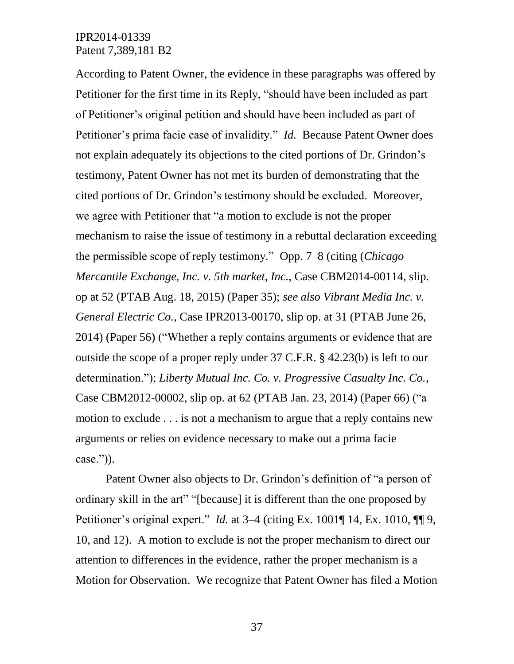According to Patent Owner, the evidence in these paragraphs was offered by Petitioner for the first time in its Reply, "should have been included as part of Petitioner's original petition and should have been included as part of Petitioner's prima facie case of invalidity." *Id.* Because Patent Owner does not explain adequately its objections to the cited portions of Dr. Grindon's testimony, Patent Owner has not met its burden of demonstrating that the cited portions of Dr. Grindon's testimony should be excluded. Moreover, we agree with Petitioner that "a motion to exclude is not the proper mechanism to raise the issue of testimony in a rebuttal declaration exceeding the permissible scope of reply testimony." Opp. 7–8 (citing (*Chicago Mercantile Exchange, Inc. v. 5th market, Inc.*, Case CBM2014-00114, slip. op at 52 (PTAB Aug. 18, 2015) (Paper 35); *see also Vibrant Media Inc. v. General Electric Co.*, Case IPR2013-00170, slip op. at 31 (PTAB June 26, 2014) (Paper 56) ("Whether a reply contains arguments or evidence that are outside the scope of a proper reply under 37 C.F.R. § 42.23(b) is left to our determination."); *Liberty Mutual Inc. Co. v. Progressive Casualty Inc. Co.*, Case CBM2012-00002, slip op. at 62 (PTAB Jan. 23, 2014) (Paper 66) ("a motion to exclude . . . is not a mechanism to argue that a reply contains new arguments or relies on evidence necessary to make out a prima facie case.")).

Patent Owner also objects to Dr. Grindon's definition of "a person of ordinary skill in the art" "[because] it is different than the one proposed by Petitioner's original expert." *Id.* at 3–4 (citing Ex. 1001¶ 14, Ex. 1010, ¶¶ 9, 10, and 12). A motion to exclude is not the proper mechanism to direct our attention to differences in the evidence, rather the proper mechanism is a Motion for Observation. We recognize that Patent Owner has filed a Motion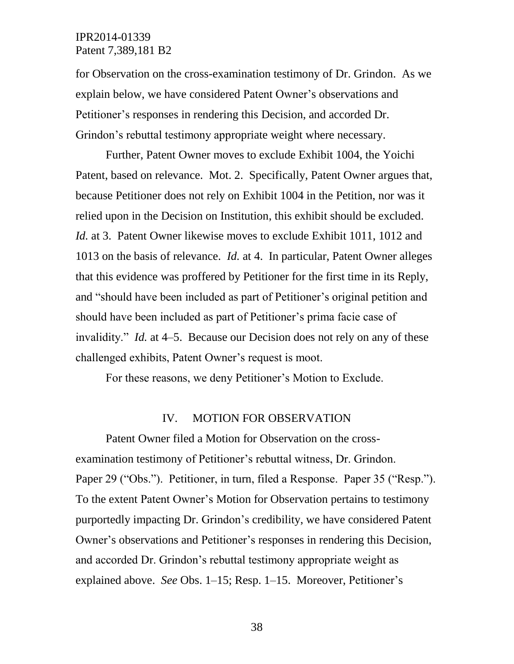for Observation on the cross-examination testimony of Dr. Grindon. As we explain below, we have considered Patent Owner's observations and Petitioner's responses in rendering this Decision, and accorded Dr. Grindon's rebuttal testimony appropriate weight where necessary.

Further, Patent Owner moves to exclude Exhibit 1004, the Yoichi Patent, based on relevance. Mot. 2. Specifically, Patent Owner argues that, because Petitioner does not rely on Exhibit 1004 in the Petition, nor was it relied upon in the Decision on Institution, this exhibit should be excluded. *Id.* at 3. Patent Owner likewise moves to exclude Exhibit 1011, 1012 and 1013 on the basis of relevance. *Id.* at 4. In particular, Patent Owner alleges that this evidence was proffered by Petitioner for the first time in its Reply, and "should have been included as part of Petitioner's original petition and should have been included as part of Petitioner's prima facie case of invalidity." *Id.* at 4–5. Because our Decision does not rely on any of these challenged exhibits, Patent Owner's request is moot.

For these reasons, we deny Petitioner's Motion to Exclude.

#### IV. MOTION FOR OBSERVATION

Patent Owner filed a Motion for Observation on the crossexamination testimony of Petitioner's rebuttal witness, Dr. Grindon. Paper 29 ("Obs."). Petitioner, in turn, filed a Response. Paper 35 ("Resp."). To the extent Patent Owner's Motion for Observation pertains to testimony purportedly impacting Dr. Grindon's credibility, we have considered Patent Owner's observations and Petitioner's responses in rendering this Decision, and accorded Dr. Grindon's rebuttal testimony appropriate weight as explained above. *See* Obs. 1–15; Resp. 1–15. Moreover, Petitioner's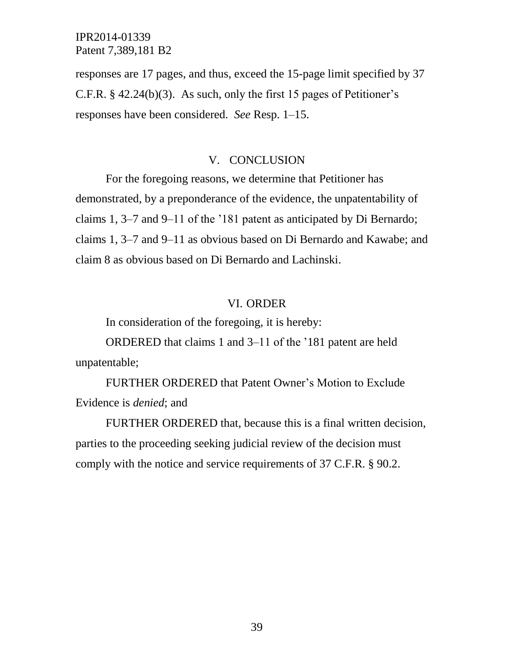responses are 17 pages, and thus, exceed the 15-page limit specified by 37 C.F.R. § 42.24(b)(3). As such, only the first 15 pages of Petitioner's responses have been considered. *See* Resp. 1–15.

#### V. CONCLUSION

For the foregoing reasons, we determine that Petitioner has demonstrated, by a preponderance of the evidence, the unpatentability of claims 1, 3–7 and 9–11 of the '181 patent as anticipated by Di Bernardo; claims 1, 3–7 and 9–11 as obvious based on Di Bernardo and Kawabe; and claim 8 as obvious based on Di Bernardo and Lachinski.

#### VI. ORDER

In consideration of the foregoing, it is hereby:

ORDERED that claims 1 and 3–11 of the '181 patent are held unpatentable;

FURTHER ORDERED that Patent Owner's Motion to Exclude Evidence is *denied*; and

FURTHER ORDERED that, because this is a final written decision, parties to the proceeding seeking judicial review of the decision must comply with the notice and service requirements of 37 C.F.R. § 90.2.